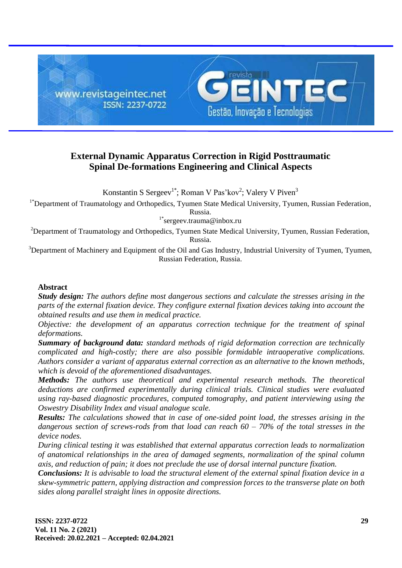

# **External Dynamic Apparatus Correction in Rigid Posttraumatic Spinal De-formations Engineering and Clinical Aspects**

Konstantin S Sergeev<sup>1\*</sup>; Roman V Pas'kov<sup>2</sup>; Valery V Piven<sup>3</sup>

<sup>1\*</sup>Department of Traumatology and Orthopedics, Tyumen State Medical University, Tyumen, Russian Federation, [Russia.](https://en.wikipedia.org/wiki/Russia)

 $1^*$ [sergeev.trauma@inbox.ru](mailto:sergeev.trauma@inbox.ru)

<sup>2</sup>Department of Traumatology and Orthopedics, Tyumen State Medical University, Tyumen, Russian Federation, [Russia.](https://en.wikipedia.org/wiki/Russia)

<sup>3</sup>Department of Machinery and Equipment of the Oil and Gas Industry, Industrial University of Tyumen, Tyumen, Russian Federation, [Russia.](https://en.wikipedia.org/wiki/Russia)

### **Abstract**

*Study design: The authors define most dangerous sections and calculate the stresses arising in the parts of the external fixation device. They configure external fixation devices taking into account the obtained results and use them in medical practice.* 

*Objective: the development of an apparatus correction technique for the treatment of spinal deformations.* 

*Summary of background data: standard methods of rigid deformation correction are technically complicated and high-costly; there are also possible formidable intraoperative complications. Authors consider a variant of apparatus external correction as an alternative to the known methods, which is devoid of the aforementioned disadvantages.*

*Methods: The authors use theoretical and experimental research methods. The theoretical deductions are confirmed experimentally during clinical trials. Clinical studies were evaluated using ray-based diagnostic procedures, computed tomography, and patient interviewing using the Oswestry Disability Index and visual analogue scale.*

*Results: The calculations showed that in case of one-sided point load, the stresses arising in the dangerous section of screws-rods from that load can reach 60 – 70% of the total stresses in the device nodes.* 

*During clinical testing it was established that external apparatus correction leads to normalization of anatomical relationships in the area of damaged segments, normalization of the spinal column axis, and reduction of pain; it does not preclude the use of dorsal internal puncture fixation.*

*Conclusions: It is advisable to load the structural element of the external spinal fixation device in a skew-symmetric pattern, applying distraction and compression forces to the transverse plate on both sides along parallel straight lines in opposite directions.*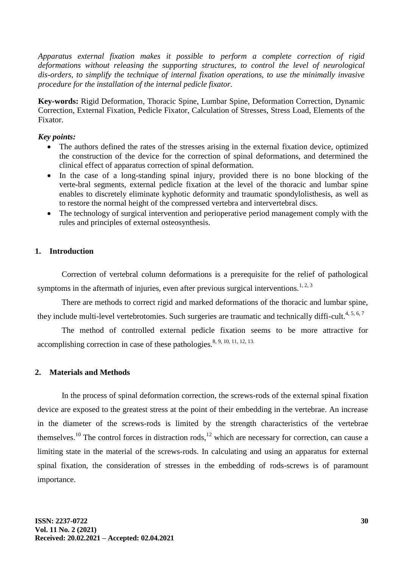*Apparatus external fixation makes it possible to perform a complete correction of rigid deformations without releasing the supporting structures, to control the level of neurological dis-orders, to simplify the technique of internal fixation operations, to use the minimally invasive procedure for the installation of the internal pedicle fixator.*

**Key-words:** Rigid Deformation, Thoracic Spine, Lumbar Spine, Deformation Correction, Dynamic Correction, External Fixation, Pedicle Fixator, Calculation of Stresses, Stress Load, Elements of the Fixator.

### *Key points:*

- The authors defined the rates of the stresses arising in the external fixation device, optimized the construction of the device for the correction of spinal deformations, and determined the clinical effect of apparatus correction of spinal deformation.
- In the case of a long-standing spinal injury, provided there is no bone blocking of the verte-bral segments, external pedicle fixation at the level of the thoracic and lumbar spine enables to discretely eliminate kyphotic deformity and traumatic spondylolisthesis, as well as to restore the normal height of the compressed vertebra and intervertebral discs.
- The technology of surgical intervention and perioperative period management comply with the rules and principles of external osteosynthesis.

# **1. Introduction**

Correction of vertebral column deformations is a prerequisite for the relief of pathological symptoms in the aftermath of injuries, even after previous surgical interventions.<sup>1, 2, 3</sup>

There are methods to correct rigid and marked deformations of the thoracic and lumbar spine, they include multi-level vertebrotomies. Such surgeries are traumatic and technically diffi-cult.<sup>4, 5, 6, 7</sup>

The method of controlled external pedicle fixation seems to be more attractive for accomplishing correction in case of these pathologies.<sup>8, 9, 10, 11, 12, 13.</sup>

### **2. Materials and Methods**

In the process of spinal deformation correction, the screws-rods of the external spinal fixation device are exposed to the greatest stress at the point of their embedding in the vertebrae. An increase in the diameter of the screws-rods is limited by the strength characteristics of the vertebrae themselves.<sup>10</sup> The control forces in distraction rods,<sup>12</sup> which are necessary for correction, can cause a limiting state in the material of the screws-rods. In calculating and using an apparatus for external spinal fixation, the consideration of stresses in the embedding of rods-screws is of paramount importance.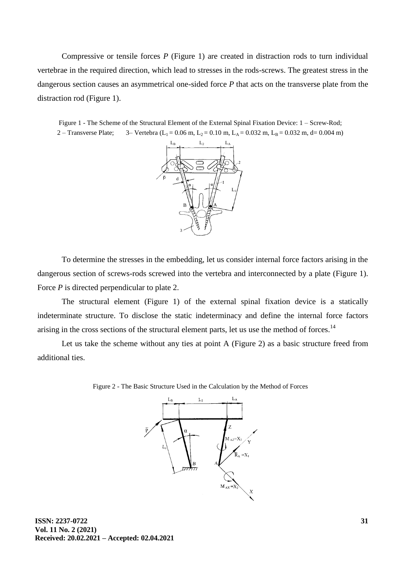Compressive or tensile forces *P* (Figure 1) are created in distraction rods to turn individual vertebrae in the required direction, which lead to stresses in the rods-screws. The greatest stress in the dangerous section causes an asymmetrical one-sided force *P* that acts on the transverse plate from the distraction rod (Figure 1).

Figure 1 - The Scheme of the Structural Element of the External Spinal Fixation Device: 1 – Screw-Rod; 2 – Transverse Plate; 3– Vertebra (L<sub>1</sub> = 0.06 m, L<sub>2</sub> = 0.10 m, L<sub>A</sub> = 0.032 m, L<sub>B</sub> = 0.032 m, d= 0.004 m)



To determine the stresses in the embedding, let us consider internal force factors arising in the dangerous section of screws-rods screwed into the vertebra and interconnected by a plate (Figure 1). Force *P* is directed perpendicular to plate 2.

The structural element (Figure 1) of the external spinal fixation device is a statically indeterminate structure. To disclose the static indeterminacy and define the internal force factors arising in the cross sections of the structural element parts, let us use the method of forces.<sup>14</sup>

Let us take the scheme without any ties at point A (Figure 2) as a basic structure freed from additional ties.



Figure 2 - The Basic Structure Used in the Calculation by the Method of Forces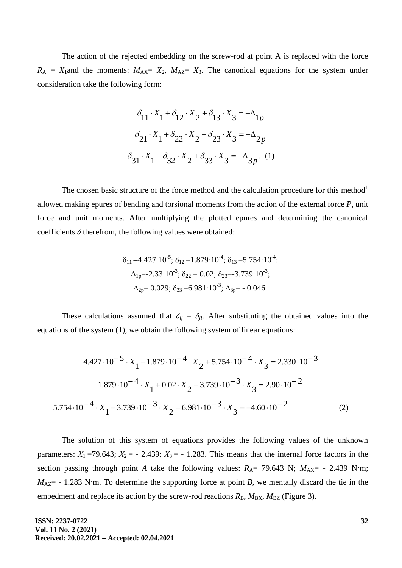The action of the rejected embedding on the screw-rod at point A is replaced with the force  $R_A = X_1$  and the moments:  $M_{AX} = X_2$ ,  $M_{AZ} = X_3$ . The canonical equations for the system under consideration take the following form:

$$
\delta_{11} \cdot X_1 + \delta_{12} \cdot X_2 + \delta_{13} \cdot X_3 = -\Delta_{1p}
$$

$$
\delta_{21} \cdot X_1 + \delta_{22} \cdot X_2 + \delta_{23} \cdot X_3 = -\Delta_{2p}
$$

$$
\delta_{31} \cdot X_1 + \delta_{32} \cdot X_2 + \delta_{33} \cdot X_3 = -\Delta_{3p}.
$$
 (1)

The chosen basic structure of the force method and the calculation procedure for this method<sup>1</sup> allowed making epures of bending and torsional moments from the action of the external force *P*, unit force and unit moments. After multiplying the plotted epures and determining the canonical coefficients  $\delta$  therefrom, the following values were obtained:

$$
\delta_{11} = 4.427 \cdot 10^{-5}; \delta_{12} = 1.879 \cdot 10^{-4}; \delta_{13} = 5.754 \cdot 10^{-4};
$$
  
\n
$$
\Delta_{1p} = -2.33 \cdot 10^{-3}; \delta_{22} = 0.02; \delta_{23} = -3.739 \cdot 10^{-3};
$$
  
\n
$$
\Delta_{2p} = 0.029; \delta_{33} = 6.981 \cdot 10^{-3}; \Delta_{3p} = -0.046.
$$

These calculations assumed that  $\delta_{ij} = \delta_{ji}$ . After substituting the obtained values into the equations of the system (1), we obtain the following system of linear equations:

$$
4.427 \cdot 10^{-5} \cdot X_1 + 1.879 \cdot 10^{-4} \cdot X_2 + 5.754 \cdot 10^{-4} \cdot X_3 = 2.330 \cdot 10^{-3}
$$
  

$$
1.879 \cdot 10^{-4} \cdot X_1 + 0.02 \cdot X_2 + 3.739 \cdot 10^{-3} \cdot X_3 = 2.90 \cdot 10^{-2}
$$
  

$$
5.754 \cdot 10^{-4} \cdot X_1 - 3.739 \cdot 10^{-3} \cdot X_2 + 6.981 \cdot 10^{-3} \cdot X_3 = -4.60 \cdot 10^{-2}
$$
 (2)

The solution of this system of equations provides the following values of the unknown parameters:  $X_1$  =79.643;  $X_2$  = - 2.439;  $X_3$  = - 1.283. This means that the internal force factors in the section passing through point *A* take the following values:  $R_A$ = 79.643 N;  $M_{AX}$ = - 2.439 N·m;  $M_{\text{AZ}}$  - 1.283 N·m. To determine the supporting force at point *B*, we mentally discard the tie in the embedment and replace its action by the screw-rod reactions  $R_B$ ,  $M_{BX}$ ,  $M_{BZ}$  (Figure 3).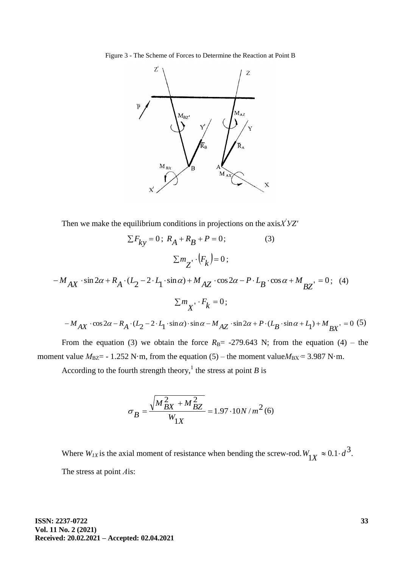Figure 3 - The Scheme of Forces to Determine the Reaction at Point B



Then we make the equilibrium conditions in projections on the axis*Х 'УZ'*

$$
\sum F_{ky} = 0; R_A + R_B + P = 0;
$$
\n(3)  
\n
$$
\sum m_{Z'} \cdot (F_k) = 0;
$$
\n(3)  
\n
$$
-M_{AX} \cdot \sin 2\alpha + R_A \cdot (L_2 - 2 \cdot L_1 \cdot \sin \alpha) + M_{AZ} \cdot \cos 2\alpha - P \cdot L_B \cdot \cos \alpha + M_{BZ'} = 0;
$$
\n
$$
\sum m_{X'} \cdot F_k = 0;
$$

 $-M_{AX}\cdot\cos 2\alpha - R_A\cdot (L_2 - 2\cdot L_1\cdot\sin\alpha)\cdot\sin\alpha - M_{AZ}\cdot\sin 2\alpha + P\cdot (L_B\cdot\sin\alpha + L_1) + M_{BX}\cdot = 0$  $M_{AX}$   $\cdot \cos 2\alpha - R_A \cdot (L_2 - 2 \cdot L_1 \cdot \sin \alpha) \cdot \sin \alpha - M_{AZ} \cdot \sin 2\alpha + P \cdot (L_B \cdot \sin \alpha + L_1) + M_{BX} = 0$  (5)

From the equation (3) we obtain the force  $R_B$ = -279.643 N; from the equation (4) – the moment value  $M_{\text{BZ}}$  = - 1.252 N·m, from the equation (5) – the moment value $M_{\text{BX}}$  = 3.987 N·m.

According to the fourth strength theory,<sup>1</sup> the stress at point *B* is

$$
\sigma_B = \frac{\sqrt{M_{BX}^2 + M_{BZ}^2}}{W_{1X}} = 1.97 \cdot 10N/m^2(6)
$$

Where  $W_{IX}$  is the axial moment of resistance when bending the screw-rod.  $W_{1X} \approx 0.1 \cdot d^3$ . The stress at point *А*is:

 $(4)$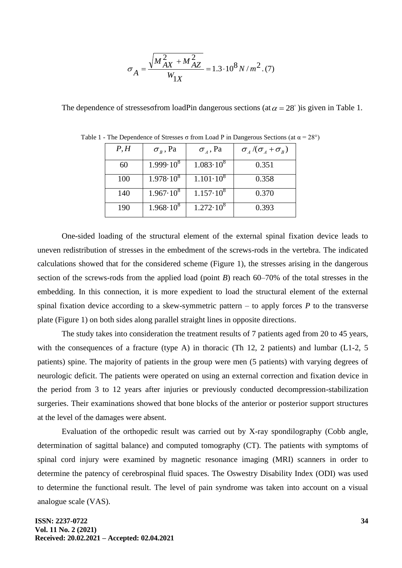$$
\sigma_A = \frac{\sqrt{M_{AX}^2 + M_{AZ}^2}}{W_{1X}} = 1.3 \cdot 10^8 \, N/m^2 \, (7)
$$

The dependence of stresses of rom load P in dangerous sections (at  $\alpha = 28^{\circ}$ ) is given in Table 1.

| P, H | $\sigma_{B}$ , Pa  | $\sigma_A$ , Pa    | $\sigma$ <sub>4</sub> /( $\sigma$ <sub>4</sub> + $\sigma$ <sub>R</sub> ) |
|------|--------------------|--------------------|--------------------------------------------------------------------------|
| 60   | $1.999 \cdot 10^8$ | $1.083 \cdot 10^8$ | 0.351                                                                    |
| 100  | $1.978 \cdot 10^8$ | $1.101 \cdot 10^8$ | 0.358                                                                    |
| 140  | $1.967 \cdot 10^8$ | $1.157 \cdot 10^8$ | 0.370                                                                    |
| 190  | $1.968 \cdot 10^8$ | $1.272 \cdot 10^8$ | 0.393                                                                    |

Table 1 - The Dependence of Stresses  $\sigma$  from Load P in Dangerous Sections (at  $\alpha = 28^{\circ}$ )

One-sided loading of the structural element of the external spinal fixation device leads to uneven redistribution of stresses in the embedment of the screws-rods in the vertebra. The indicated calculations showed that for the considered scheme (Figure 1), the stresses arising in the dangerous section of the screws-rods from the applied load (point *B*) reach 60–70% of the total stresses in the embedding. In this connection, it is more expedient to load the structural element of the external spinal fixation device according to a skew-symmetric pattern  $-$  to apply forces  $P$  to the transverse plate (Figure 1) on both sides along parallel straight lines in opposite directions.

The study takes into consideration the treatment results of 7 patients aged from 20 to 45 years, with the consequences of a fracture (type A) in thoracic (Th 12, 2 patients) and lumbar (L1-2, 5 patients) spine. The majority of patients in the group were men (5 patients) with varying degrees of neurologic deficit. The patients were operated on using an external correction and fixation device in the period from 3 to 12 years after injuries or previously conducted decompression-stabilization surgeries. Their examinations showed that bone blocks of the anterior or posterior support structures at the level of the damages were absent.

Evaluation of the orthopedic result was carried out by X-ray spondilography (Cobb angle, determination of sagittal balance) and computed tomography (CT). The patients with symptoms of spinal cord injury were examined by magnetic resonance imaging (MRI) scanners in order to determine the patency of cerebrospinal fluid spaces. The Oswestry Disability Index (ODI) was used to determine the functional result. The level of pain syndrome was taken into account on a visual analogue scale (VAS).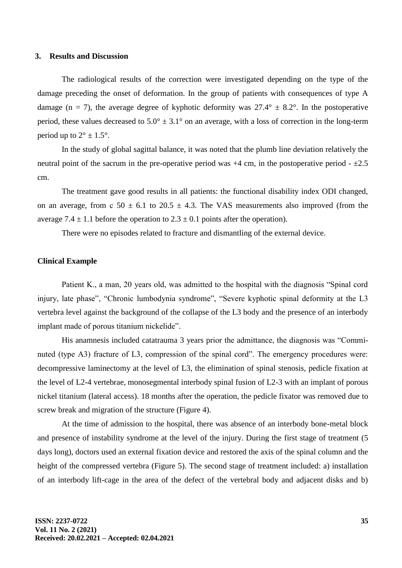#### **3. Results and Discussion**

The radiological results of the correction were investigated depending on the type of the damage preceding the onset of deformation. In the group of patients with consequences of type A damage (n = 7), the average degree of kyphotic deformity was  $27.4^{\circ} \pm 8.2^{\circ}$ . In the postoperative period, these values decreased to  $5.0^{\circ} \pm 3.1^{\circ}$  on an average, with a loss of correction in the long-term period up to  $2^{\circ} \pm 1.5^{\circ}$ .

In the study of global sagittal balance, it was noted that the plumb line deviation relatively the neutral point of the sacrum in the pre-operative period was  $+4$  cm, in the postoperative period  $- \pm 2.5$ cm.

The treatment gave good results in all patients: the functional disability index ODI changed, on an average, from c  $50 \pm 6.1$  to  $20.5 \pm 4.3$ . The VAS measurements also improved (from the average  $7.4 \pm 1.1$  before the operation to  $2.3 \pm 0.1$  points after the operation).

There were no episodes related to fracture and dismantling of the external device.

#### **Clinical Example**

Patient K., a man, 20 years old, was admitted to the hospital with the diagnosis "Spinal cord injury, late phase", "Chronic lumbodynia syndrome", "Severe kyphotic spinal deformity at the L3 vertebra level against the background of the collapse of the L3 body and the presence of an interbody implant made of porous titanium nickelide".

His anamnesis included catatrauma 3 years prior the admittance, the diagnosis was "Comminuted (type A3) fracture of L3, compression of the spinal cord". The emergency procedures were: decompressive laminectomy at the level of L3, the elimination of spinal stenosis, pedicle fixation at the level of L2-4 vertebrae, monosegmental interbody spinal fusion of L2-3 with an implant of porous nickel titanium (lateral access). 18 months after the operation, the pedicle fixator was removed due to screw break and migration of the structure (Figure 4).

At the time of admission to the hospital, there was absence of an interbody bone-metal block and presence of instability syndrome at the level of the injury. During the first stage of treatment (5 days long), doctors used an external fixation device and restored the axis of the spinal column and the height of the compressed vertebra (Figure 5). The second stage of treatment included: a) installation of an interbody lift-cage in the area of the defect of the vertebral body and adjacent disks and b)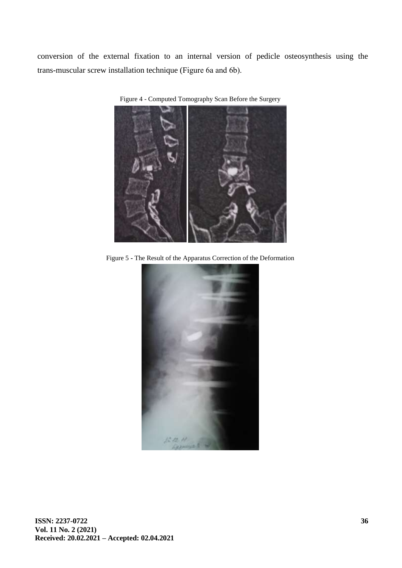conversion of the external fixation to an internal version of pedicle osteosynthesis using the trans-muscular screw installation technique (Figure 6а and 6b).



Figure 4 - Computed Tomography Scan Before the Surgery

Figure 5 **-** The Result of the Apparatus Correction of the Deformation

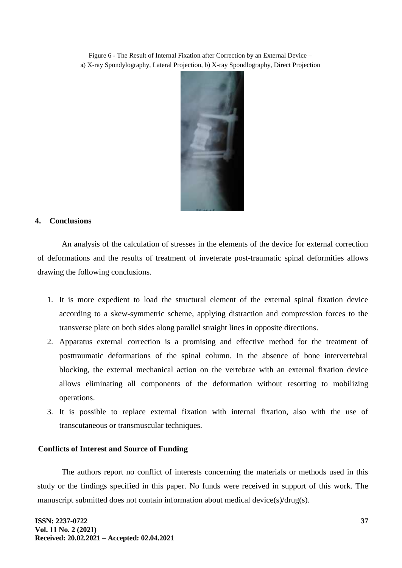Figure 6 **-** The Result of Internal Fixation after Correction by an External Device – а) X-ray Spondylography, Lateral Projection, b) X-ray Spondlography, Direct Projection



# **4. Conclusions**

An analysis of the calculation of stresses in the elements of the device for external correction of deformations and the results of treatment of inveterate post-traumatic spinal deformities allows drawing the following conclusions.

- 1. It is more expedient to load the structural element of the external spinal fixation device according to a skew-symmetric scheme, applying distraction and compression forces to the transverse plate on both sides along parallel straight lines in opposite directions.
- 2. Apparatus external correction is a promising and effective method for the treatment of posttraumatic deformations of the spinal column. In the absence of bone intervertebral blocking, the external mechanical action on the vertebrae with an external fixation device allows eliminating all components of the deformation without resorting to mobilizing operations.
- 3. It is possible to replace external fixation with internal fixation, also with the use of transcutaneous or transmuscular techniques.

# **Conflicts of Interest and Source of Funding**

The authors report no conflict of interests concerning the materials or methods used in this study or the findings specified in this paper. No funds were received in support of this work. The manuscript submitted does not contain information about medical device(s)/drug(s).